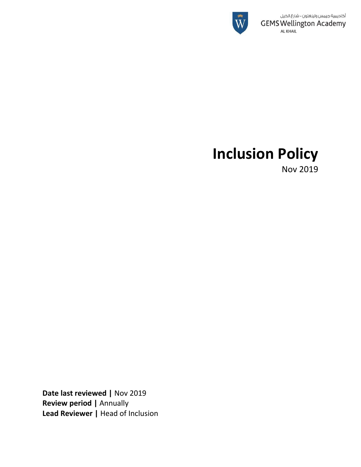

# **Inclusion Policy**

Nov 2019

**Date last reviewed |** Nov 2019 **Review period |** Annually **Lead Reviewer |** Head of Inclusion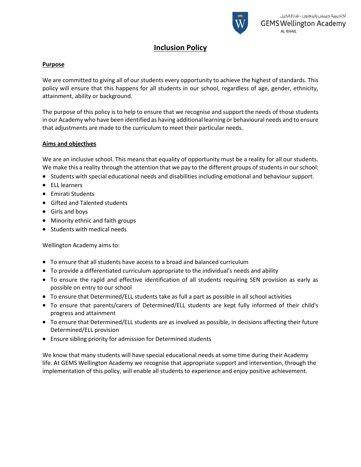

# **Inclusion Policy**

# **Purpose**

We are committed to giving all of our students every opportunity to achieve the highest of standards. This policy will ensure that this happens for all students in our school, regardless of age, gender, ethnicity, attainment, ability or background.

The purpose of this policy is to help to ensure that we recognise and support the needs of those students in our Academy who have been identified as having additional learning or behavioural needs and to ensure that adjustments are made to the curriculum to meet their particular needs.

# **Aims and objectives**

We are an inclusive school. This means that equality of opportunity must be a reality for all our students. We make this a reality through the attention that we pay to the different groups of students in our school:

- Students with special educational needs and disabilities including emotional and behaviour support.
- ELL learners
- **•** Emirati Students
- Gifted and Talented students
- Girls and boys
- Minority ethnic and faith groups
- Students with medical needs

Wellington Academy aims to:

- To ensure that all students have access to a broad and balanced curriculum
- To provide a differentiated curriculum appropriate to the individual's needs and ability
- To ensure the rapid and effective identification of all students requiring SEN provision as early as possible on entry to our school
- To ensure that Determined/ELL students take as full a part as possible in all school activities
- To ensure that parents/carers of Determined/ELL students are kept fully informed of their child's progress and attainment
- To ensure that Determined/ELL students are as involved as possible, in decisions affecting their future Determined/ELL provision
- Ensure sibling priority for admission for Determined students

We know that many students will have special educational needs at some time during their Academy life. At GEMS Wellington Academy we recognise that appropriate support and intervention, through the implementation of this policy, will enable all students to experience and enjoy positive achievement.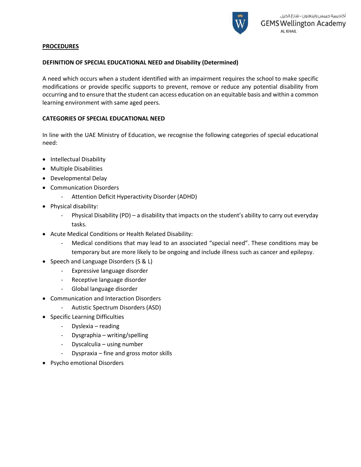

# **PROCEDURES**

# **DEFINITION OF SPECIAL EDUCATIONAL NEED and Disability (Determined)**

A need which occurs when a student identified with an impairment requires the school to make specific modifications or provide specific supports to prevent, remove or reduce any potential disability from occurring and to ensure that the student can access education on an equitable basis and within a common learning environment with same aged peers.

# **CATEGORIES OF SPECIAL EDUCATIONAL NEED**

In line with the UAE Ministry of Education, we recognise the following categories of special educational need:

- Intellectual Disability
- Multiple Disabilities
- Developmental Delay
- Communication Disorders
	- Attention Deficit Hyperactivity Disorder (ADHD)
- Physical disability:
	- Physical Disability (PD) a disability that impacts on the student's ability to carry out everyday tasks.
- Acute Medical Conditions or Health Related Disability:
	- Medical conditions that may lead to an associated "special need". These conditions may be temporary but are more likely to be ongoing and include illness such as cancer and epilepsy.
- Speech and Language Disorders (S & L)
	- Expressive language disorder
	- Receptive language disorder
	- Global language disorder
- Communication and Interaction Disorders
	- Autistic Spectrum Disorders (ASD)
- Specific Learning Difficulties
	- Dyslexia reading
	- Dysgraphia writing/spelling
	- Dyscalculia using number
	- Dyspraxia fine and gross motor skills
- Psycho emotional Disorders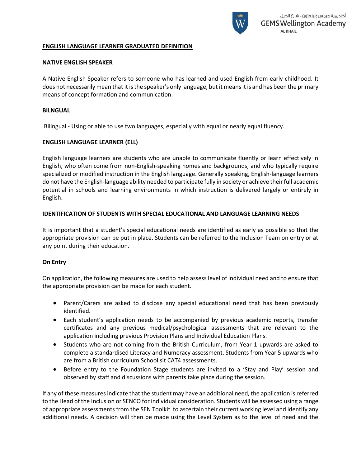

# **ENGLISH LANGUAGE LEARNER GRADUATED DEFINITION**

#### **NATIVE ENGLISH SPEAKER**

A Native English Speaker refers to someone who has learned and used English from early childhood. It does not necessarily mean that it is the speaker's only language, but it means it is and has been the primary means of concept formation and communication.

#### **BILNGUAL**

Bilingual - Using or able to use two languages, especially with equal or nearly equal fluency.

# **ENGLISH LANGUAGE LEARNER (ELL)**

English language learners are students who are unable to communicate fluently or learn effectively in English, who often come from non-English-speaking homes and backgrounds, and who typically require specialized or modified instruction in the English language. Generally speaking, English-language learners do not have the English-language ability needed to participate fully in society or achieve their full academic potential in schools and [learning environments](http://edglossary.org/learning-environment/) in which instruction is delivered largely or entirely in English.

# **IDENTIFICATION OF STUDENTS WITH SPECIAL EDUCATIONAL AND LANGUAGE LEARNING NEEDS**

It is important that a student's special educational needs are identified as early as possible so that the appropriate provision can be put in place. Students can be referred to the Inclusion Team on entry or at any point during their education.

# **On Entry**

On application, the following measures are used to help assess level of individual need and to ensure that the appropriate provision can be made for each student.

- Parent/Carers are asked to disclose any special educational need that has been previously identified.
- Each student's application needs to be accompanied by previous academic reports, transfer certificates and any previous medical/psychological assessments that are relevant to the application including previous Provision Plans and Individual Education Plans.
- Students who are not coming from the British Curriculum, from Year 1 upwards are asked to complete a standardised Literacy and Numeracy assessment. Students from Year 5 upwards who are from a British curriculum School sit CAT4 assessments.
- Before entry to the Foundation Stage students are invited to a 'Stay and Play' session and observed by staff and discussions with parents take place during the session.

If any of these measures indicate that the student may have an additional need, the application is referred to the Head of the Inclusion or SENCO for individual consideration. Students will be assessed using a range of appropriate assessments from the SEN Toolkit to ascertain their current working level and identify any additional needs. A decision will then be made using the Level System as to the level of need and the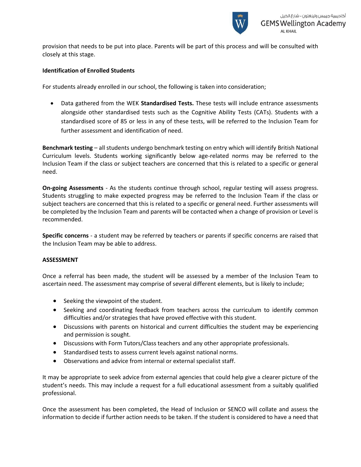

provision that needs to be put into place. Parents will be part of this process and will be consulted with closely at this stage.

#### **Identification of Enrolled Students**

For students already enrolled in our school, the following is taken into consideration;

 Data gathered from the WEK **Standardised Tests.** These tests will include entrance assessments alongside other standardised tests such as the Cognitive Ability Tests (CATs). Students with a standardised score of 85 or less in any of these tests, will be referred to the Inclusion Team for further assessment and identification of need.

**Benchmark testing** – all students undergo benchmark testing on entry which will identify British National Curriculum levels. Students working significantly below age-related norms may be referred to the Inclusion Team if the class or subject teachers are concerned that this is related to a specific or general need.

**On-going Assessments** - As the students continue through school, regular testing will assess progress. Students struggling to make expected progress may be referred to the Inclusion Team if the class or subject teachers are concerned that this is related to a specific or general need. Further assessments will be completed by the Inclusion Team and parents will be contacted when a change of provision or Level is recommended.

**Specific concerns** - a student may be referred by teachers or parents if specific concerns are raised that the Inclusion Team may be able to address.

#### **ASSESSMENT**

Once a referral has been made, the student will be assessed by a member of the Inclusion Team to ascertain need. The assessment may comprise of several different elements, but is likely to include;

- Seeking the viewpoint of the student.
- Seeking and coordinating feedback from teachers across the curriculum to identify common difficulties and/or strategies that have proved effective with this student.
- Discussions with parents on historical and current difficulties the student may be experiencing and permission is sought.
- Discussions with Form Tutors/Class teachers and any other appropriate professionals.
- Standardised tests to assess current levels against national norms.
- Observations and advice from internal or external specialist staff.

It may be appropriate to seek advice from external agencies that could help give a clearer picture of the student's needs. This may include a request for a full educational assessment from a suitably qualified professional.

Once the assessment has been completed, the Head of Inclusion or SENCO will collate and assess the information to decide if further action needs to be taken. If the student is considered to have a need that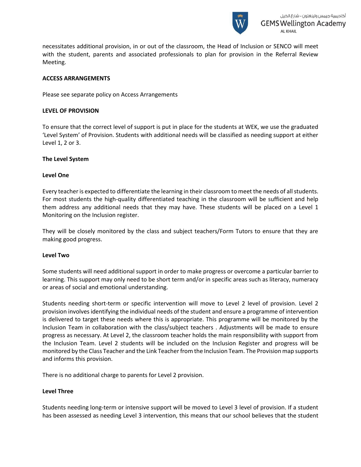

necessitates additional provision, in or out of the classroom, the Head of Inclusion or SENCO will meet with the student, parents and associated professionals to plan for provision in the Referral Review Meeting.

# **ACCESS ARRANGEMENTS**

Please see separate policy on Access Arrangements

#### **LEVEL OF PROVISION**

To ensure that the correct level of support is put in place for the students at WEK, we use the graduated 'Level System' of Provision. Students with additional needs will be classified as needing support at either Level 1, 2 or 3.

#### **The Level System**

#### **Level One**

Every teacher is expected to differentiate the learning in their classroom to meet the needs of all students. For most students the high-quality differentiated teaching in the classroom will be sufficient and help them address any additional needs that they may have. These students will be placed on a Level 1 Monitoring on the Inclusion register.

They will be closely monitored by the class and subject teachers/Form Tutors to ensure that they are making good progress.

#### **Level Two**

Some students will need additional support in order to make progress or overcome a particular barrier to learning. This support may only need to be short term and/or in specific areas such as literacy, numeracy or areas of social and emotional understanding.

Students needing short-term or specific intervention will move to Level 2 level of provision. Level 2 provision involves identifying the individual needs of the student and ensure a programme of intervention is delivered to target these needs where this is appropriate. This programme will be monitored by the Inclusion Team in collaboration with the class/subject teachers . Adjustments will be made to ensure progress as necessary. At Level 2, the classroom teacher holds the main responsibility with support from the Inclusion Team. Level 2 students will be included on the Inclusion Register and progress will be monitored by the Class Teacher and the Link Teacher from the Inclusion Team. The Provision map supports and informs this provision.

There is no additional charge to parents for Level 2 provision.

#### **Level Three**

Students needing long-term or intensive support will be moved to Level 3 level of provision. If a student has been assessed as needing Level 3 intervention, this means that our school believes that the student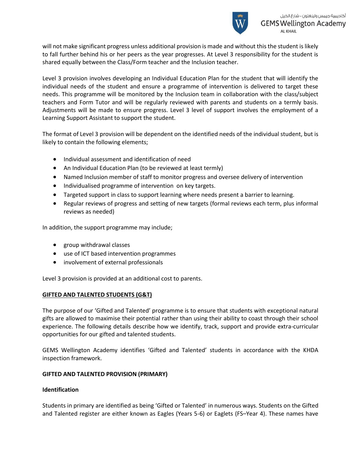

will not make significant progress unless additional provision is made and without this the student is likely to fall further behind his or her peers as the year progresses. At Level 3 responsibility for the student is shared equally between the Class/Form teacher and the Inclusion teacher.

Level 3 provision involves developing an Individual Education Plan for the student that will identify the individual needs of the student and ensure a programme of intervention is delivered to target these needs. This programme will be monitored by the Inclusion team in collaboration with the class/subject teachers and Form Tutor and will be regularly reviewed with parents and students on a termly basis. Adjustments will be made to ensure progress. Level 3 level of support involves the employment of a Learning Support Assistant to support the student.

The format of Level 3 provision will be dependent on the identified needs of the individual student, but is likely to contain the following elements;

- Individual assessment and identification of need
- An Individual Education Plan (to be reviewed at least termly)
- Named Inclusion member of staff to monitor progress and oversee delivery of intervention
- Individualised programme of intervention on key targets.
- Targeted support in class to support learning where needs present a barrier to learning.
- Regular reviews of progress and setting of new targets (formal reviews each term, plus informal reviews as needed)

In addition, the support programme may include;

- group withdrawal classes
- use of ICT based intervention programmes
- involvement of external professionals

Level 3 provision is provided at an additional cost to parents.

# **GIFTED AND TALENTED STUDENTS (G&T)**

The purpose of our 'Gifted and Talented' programme is to ensure that students with exceptional natural gifts are allowed to maximise their potential rather than using their ability to coast through their school experience. The following details describe how we identify, track, support and provide extra-curricular opportunities for our gifted and talented students.

GEMS Wellington Academy identifies 'Gifted and Talented' students in accordance with the KHDA inspection framework.

# **GIFTED AND TALENTED PROVISION (PRIMARY)**

# **Identification**

Students in primary are identified as being 'Gifted or Talented' in numerous ways. Students on the Gifted and Talented register are either known as Eagles (Years 5-6) or Eaglets (FS–Year 4). These names have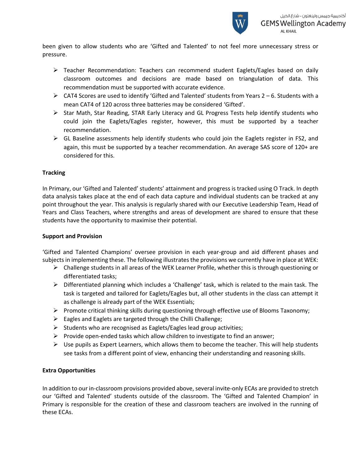

been given to allow students who are 'Gifted and Talented' to not feel more unnecessary stress or pressure.

- $\triangleright$  Teacher Recommendation: Teachers can recommend student Eaglets/Eagles based on daily classroom outcomes and decisions are made based on triangulation of data. This recommendation must be supported with accurate evidence.
- $\triangleright$  CAT4 Scores are used to identify 'Gifted and Talented' students from Years 2 6. Students with a mean CAT4 of 120 across three batteries may be considered 'Gifted'.
- $\triangleright$  Star Math, Star Reading, STAR Early Literacy and GL Progress Tests help identify students who could join the Eaglets/Eagles register, however, this must be supported by a teacher recommendation.
- $\triangleright$  GL Baseline assessments help identify students who could join the Eaglets register in FS2, and again, this must be supported by a teacher recommendation. An average SAS score of 120+ are considered for this.

# **Tracking**

In Primary, our 'Gifted and Talented' students' attainment and progress is tracked using O Track. In depth data analysis takes place at the end of each data capture and individual students can be tracked at any point throughout the year. This analysis is regularly shared with our Executive Leadership Team, Head of Years and Class Teachers, where strengths and areas of development are shared to ensure that these students have the opportunity to maximise their potential.

# **Support and Provision**

'Gifted and Talented Champions' oversee provision in each year-group and aid different phases and subjects in implementing these. The following illustrates the provisions we currently have in place at WEK:

- $\triangleright$  Challenge students in all areas of the WEK Learner Profile, whether this is through questioning or differentiated tasks;
- $\triangleright$  Differentiated planning which includes a 'Challenge' task, which is related to the main task. The task is targeted and tailored for Eaglets/Eagles but, all other students in the class can attempt it as challenge is already part of the WEK Essentials;
- Promote critical thinking skills during questioning through effective use of Blooms Taxonomy;
- $\triangleright$  Eagles and Eaglets are targeted through the Chilli Challenge;
- $\triangleright$  Students who are recognised as Eaglets/Eagles lead group activities;
- $\triangleright$  Provide open-ended tasks which allow children to investigate to find an answer;
- $\triangleright$  Use pupils as Expert Learners, which allows them to become the teacher. This will help students see tasks from a different point of view, enhancing their understanding and reasoning skills.

# **Extra Opportunities**

In addition to our in-classroom provisions provided above, several invite-only ECAs are provided to stretch our 'Gifted and Talented' students outside of the classroom. The 'Gifted and Talented Champion' in Primary is responsible for the creation of these and classroom teachers are involved in the running of these ECAs.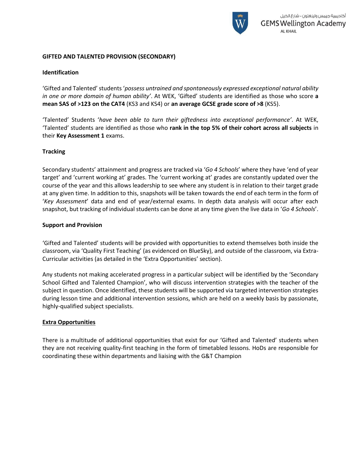

#### **GIFTED AND TALENTED PROVISION (SECONDARY)**

#### **Identification**

'Gifted and Talented' students '*possess untrained and spontaneously expressed exceptional natural ability in one or more domain of human ability'*. At WEK, 'Gifted' students are identified as those who score **a mean SAS of >123 on the CAT4** (KS3 and KS4) or **an average GCSE grade score of >8** (KS5).

'Talented' Students '*have been able to turn their giftedness into exceptional performance'*. At WEK, 'Talented' students are identified as those who **rank in the top 5% of their cohort across all subjects** in their **Key Assessment 1** exams.

#### **Tracking**

Secondary students' attainment and progress are tracked via '*Go 4 Schools*' where they have 'end of year target' and 'current working at' grades. The 'current working at' grades are constantly updated over the course of the year and this allows leadership to see where any student is in relation to their target grade at any given time. In addition to this, snapshots will be taken towards the end of each term in the form of '*Key Assessment*' data and end of year/external exams. In depth data analysis will occur after each snapshot, but tracking of individual students can be done at any time given the live data in '*Go 4 Schools*'.

#### **Support and Provision**

'Gifted and Talented' students will be provided with opportunities to extend themselves both inside the classroom, via 'Quality First Teaching' (as evidenced on BlueSky), and outside of the classroom, via Extra-Curricular activities (as detailed in the 'Extra Opportunities' section).

Any students not making accelerated progress in a particular subject will be identified by the 'Secondary School Gifted and Talented Champion', who will discuss intervention strategies with the teacher of the subject in question. Once identified, these students will be supported via targeted intervention strategies during lesson time and additional intervention sessions, which are held on a weekly basis by passionate, highly-qualified subject specialists.

#### **Extra Opportunities**

There is a multitude of additional opportunities that exist for our 'Gifted and Talented' students when they are not receiving quality-first teaching in the form of timetabled lessons. HoDs are responsible for coordinating these within departments and liaising with the G&T Champion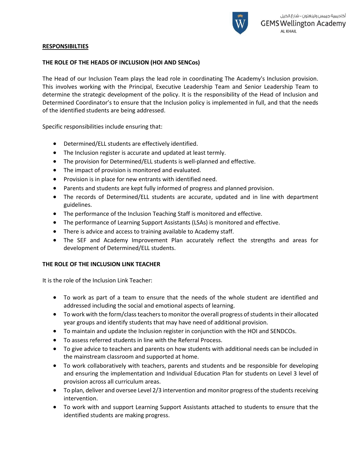

# **RESPONSIBILTIES**

# **THE ROLE OF THE HEADS OF INCLUSION (HOI AND SENCos)**

The Head of our Inclusion Team plays the lead role in coordinating The Academy's Inclusion provision. This involves working with the Principal, Executive Leadership Team and Senior Leadership Team to determine the strategic development of the policy. It is the responsibility of the Head of Inclusion and Determined Coordinator's to ensure that the Inclusion policy is implemented in full, and that the needs of the identified students are being addressed.

Specific responsibilities include ensuring that:

- Determined/ELL students are effectively identified.
- The Inclusion register is accurate and updated at least termly.
- The provision for Determined/ELL students is well-planned and effective.
- The impact of provision is monitored and evaluated.
- Provision is in place for new entrants with identified need.
- Parents and students are kept fully informed of progress and planned provision.
- The records of Determined/ELL students are accurate, updated and in line with department guidelines.
- The performance of the Inclusion Teaching Staff is monitored and effective.
- The performance of Learning Support Assistants (LSAs) is monitored and effective.
- There is advice and access to training available to Academy staff.
- The SEF and Academy Improvement Plan accurately reflect the strengths and areas for development of Determined/ELL students.

# **THE ROLE OF THE INCLUSION LINK TEACHER**

It is the role of the Inclusion Link Teacher:

- To work as part of a team to ensure that the needs of the whole student are identified and addressed including the social and emotional aspects of learning.
- To work with the form/class teachers to monitor the overall progress of students in their allocated year groups and identify students that may have need of additional provision.
- To maintain and update the Inclusion register in conjunction with the HOI and SENDCOs.
- To assess referred students in line with the Referral Process.
- To give advice to teachers and parents on how students with additional needs can be included in the mainstream classroom and supported at home.
- To work collaboratively with teachers, parents and students and be responsible for developing and ensuring the implementation and Individual Education Plan for students on Level 3 level of provision across all curriculum areas.
- To plan, deliver and oversee Level 2/3 intervention and monitor progress of the students receiving intervention.
- To work with and support Learning Support Assistants attached to students to ensure that the identified students are making progress.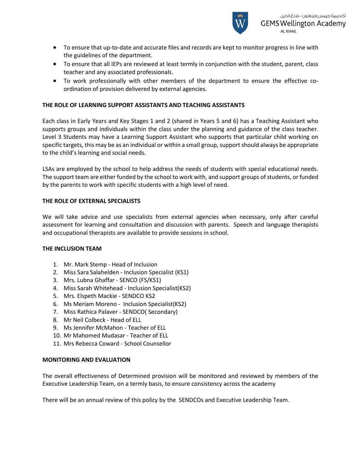

- To ensure that up-to-date and accurate files and records are kept to monitor progress in line with the guidelines of the department.
- To ensure that all IEPs are reviewed at least termly in conjunction with the student, parent, class teacher and any associated professionals.
- To work professionally with other members of the department to ensure the effective coordination of provision delivered by external agencies.

# **THE ROLE OF LEARNING SUPPORT ASSISTANTS AND TEACHING ASSISTANTS**

Each class in Early Years and Key Stages 1 and 2 (shared in Years 5 and 6) has a Teaching Assistant who supports groups and individuals within the class under the planning and guidance of the class teacher. Level 3 Students may have a Learning Support Assistant who supports that particular child working on specific targets, this may be as an individual or within a small group, support should always be appropriate to the child's learning and social needs.

LSAs are employed by the school to help address the needs of students with special educational needs. The support team are either funded by the school to work with, and support groups of students, or funded by the parents to work with specific students with a high level of need.

# **THE ROLE OF EXTERNAL SPECIALISTS**

We will take advice and use specialists from external agencies when necessary, only after careful assessment for learning and consultation and discussion with parents. Speech and language therapists and occupational therapists are available to provide sessions in school.

# **THE INCLUSION TEAM**

- 1. Mr. Mark Stemp Head of Inclusion
- 2. Miss Sara Salahelden Inclusion Specialist (KS1)
- 3. Mrs. Lubna Ghaffar SENCO (FS/KS1)
- 4. Miss Sarah Whitehead Inclusion Specialist(KS2)
- 5. Mrs. Elspeth Mackie SENDCO KS2
- 6. Ms Meriam Moreno Inclusion Specialist(KS2)
- 7. Miss Rathica Palaver SENDCO( Secondary)
- 8. Mr Neil Colbeck Head of ELL
- 9. Ms Jennifer McMahon Teacher of ELL
- 10. Mr Mahomed Mudasar Teacher of ELL
- 11. Mrs Rebecca Coward School Counsellor

# **MONITORING AND EVALUATION**

The overall effectiveness of Determined provision will be monitored and reviewed by members of the Executive Leadership Team, on a termly basis, to ensure consistency across the academy

There will be an annual review of this policy by the SENDCOs and Executive Leadership Team.